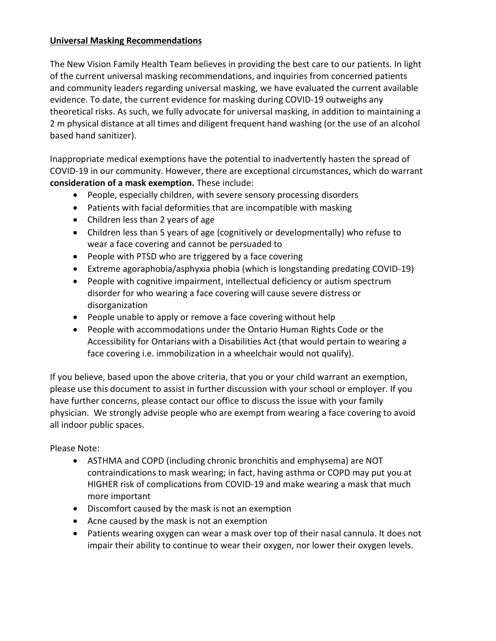## **Universal Masking Recommendations**

The New Vision Family Health Team believes in providing the best care to our patients. In light of the current universal masking recommendations, and inquiries from concerned patients and community leaders regarding universal masking, we have evaluated the current available evidence. To date, the current evidence for masking during COVID-19 outweighs any theoretical risks. As such, we fully advocate for universal masking, in addition to maintaining a 2 m physical distance at all times and diligent frequent hand washing (or the use of an alcohol based hand sanitizer).

Inappropriate medical exemptions have the potential to inadvertently hasten the spread of COVID-19 in our community. However, there are exceptional circumstances, which do warrant **consideration of a mask exemption.** These include:

- People, especially children, with severe sensory processing disorders
- Patients with facial deformities that are incompatible with masking
- Children less than 2 years of age
- Children less than 5 years of age (cognitively or developmentally) who refuse to wear a face covering and cannot be persuaded to
- People with PTSD who are triggered by a face covering
- Extreme agoraphobia/asphyxia phobia (which is longstanding predating COVID-19)
- People with cognitive impairment, intellectual deficiency or autism spectrum disorder for who wearing a face covering will cause severe distress or disorganization
- People unable to apply or remove a face covering without help
- People with accommodations under the Ontario Human Rights Code or the Accessibility for Ontarians with a Disabilities Act (that would pertain to wearing a face covering i.e. immobilization in a wheelchair would not qualify).

If you believe, based upon the above criteria, that you or your child warrant an exemption, please use this document to assist in further discussion with your school or employer. If you have further concerns, please contact our office to discuss the issue with your family physician. We strongly advise people who are exempt from wearing a face covering to avoid all indoor public spaces.

## Please Note:

- ASTHMA and COPD (including chronic bronchitis and emphysema) are NOT contraindications to mask wearing; in fact, having asthma or COPD may put you at HIGHER risk of complications from COVID-19 and make wearing a mask that much more important
- Discomfort caused by the mask is not an exemption
- Acne caused by the mask is not an exemption
- Patients wearing oxygen can wear a mask over top of their nasal cannula. It does not impair their ability to continue to wear their oxygen, nor lower their oxygen levels.